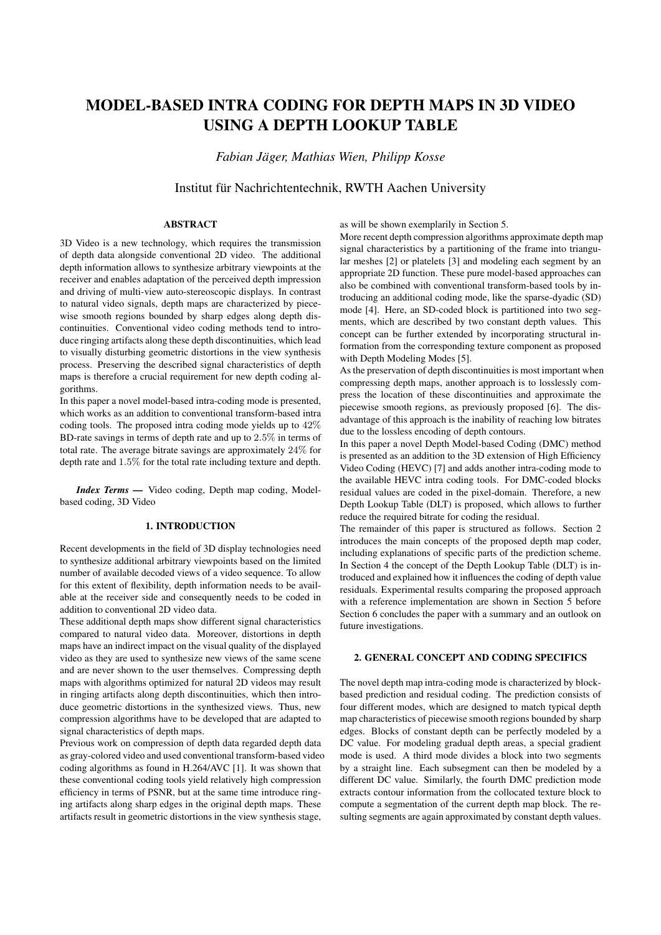# MODEL-BASED INTRA CODING FOR DEPTH MAPS IN 3D VIDEO USING A DEPTH LOOKUP TABLE

*Fabian Jager, Mathias Wien, Philipp Kosse ¨*

Institut fur Nachrichtentechnik, RWTH Aachen University ¨

# ABSTRACT

3D Video is a new technology, which requires the transmission of depth data alongside conventional 2D video. The additional depth information allows to synthesize arbitrary viewpoints at the receiver and enables adaptation of the perceived depth impression and driving of multi-view auto-stereoscopic displays. In contrast to natural video signals, depth maps are characterized by piecewise smooth regions bounded by sharp edges along depth discontinuities. Conventional video coding methods tend to introduce ringing artifacts along these depth discontinuities, which lead to visually disturbing geometric distortions in the view synthesis process. Preserving the described signal characteristics of depth maps is therefore a crucial requirement for new depth coding algorithms.

In this paper a novel model-based intra-coding mode is presented, which works as an addition to conventional transform-based intra coding tools. The proposed intra coding mode yields up to 42% BD-rate savings in terms of depth rate and up to 2.5% in terms of total rate. The average bitrate savings are approximately 24% for depth rate and 1.5% for the total rate including texture and depth.

*Index Terms* — Video coding, Depth map coding, Modelbased coding, 3D Video

#### 1. INTRODUCTION

Recent developments in the field of 3D display technologies need to synthesize additional arbitrary viewpoints based on the limited number of available decoded views of a video sequence. To allow for this extent of flexibility, depth information needs to be available at the receiver side and consequently needs to be coded in addition to conventional 2D video data.

These additional depth maps show different signal characteristics compared to natural video data. Moreover, distortions in depth maps have an indirect impact on the visual quality of the displayed video as they are used to synthesize new views of the same scene and are never shown to the user themselves. Compressing depth maps with algorithms optimized for natural 2D videos may result in ringing artifacts along depth discontinuities, which then introduce geometric distortions in the synthesized views. Thus, new compression algorithms have to be developed that are adapted to signal characteristics of depth maps.

Previous work on compression of depth data regarded depth data as gray-colored video and used conventional transform-based video coding algorithms as found in H.264/AVC [1]. It was shown that these conventional coding tools yield relatively high compression efficiency in terms of PSNR, but at the same time introduce ringing artifacts along sharp edges in the original depth maps. These artifacts result in geometric distortions in the view synthesis stage,

as will be shown exemplarily in Section 5.

More recent depth compression algorithms approximate depth map signal characteristics by a partitioning of the frame into triangular meshes [2] or platelets [3] and modeling each segment by an appropriate 2D function. These pure model-based approaches can also be combined with conventional transform-based tools by introducing an additional coding mode, like the sparse-dyadic (SD) mode [4]. Here, an SD-coded block is partitioned into two segments, which are described by two constant depth values. This concept can be further extended by incorporating structural information from the corresponding texture component as proposed with Depth Modeling Modes [5].

As the preservation of depth discontinuities is most important when compressing depth maps, another approach is to losslessly compress the location of these discontinuities and approximate the piecewise smooth regions, as previously proposed [6]. The disadvantage of this approach is the inability of reaching low bitrates due to the lossless encoding of depth contours.

In this paper a novel Depth Model-based Coding (DMC) method is presented as an addition to the 3D extension of High Efficiency Video Coding (HEVC) [7] and adds another intra-coding mode to the available HEVC intra coding tools. For DMC-coded blocks residual values are coded in the pixel-domain. Therefore, a new Depth Lookup Table (DLT) is proposed, which allows to further reduce the required bitrate for coding the residual.

The remainder of this paper is structured as follows. Section 2 introduces the main concepts of the proposed depth map coder, including explanations of specific parts of the prediction scheme. In Section 4 the concept of the Depth Lookup Table (DLT) is introduced and explained how it influences the coding of depth value residuals. Experimental results comparing the proposed approach with a reference implementation are shown in Section 5 before Section 6 concludes the paper with a summary and an outlook on future investigations.

## 2. GENERAL CONCEPT AND CODING SPECIFICS

The novel depth map intra-coding mode is characterized by blockbased prediction and residual coding. The prediction consists of four different modes, which are designed to match typical depth map characteristics of piecewise smooth regions bounded by sharp edges. Blocks of constant depth can be perfectly modeled by a DC value. For modeling gradual depth areas, a special gradient mode is used. A third mode divides a block into two segments by a straight line. Each subsegment can then be modeled by a different DC value. Similarly, the fourth DMC prediction mode extracts contour information from the collocated texture block to compute a segmentation of the current depth map block. The resulting segments are again approximated by constant depth values.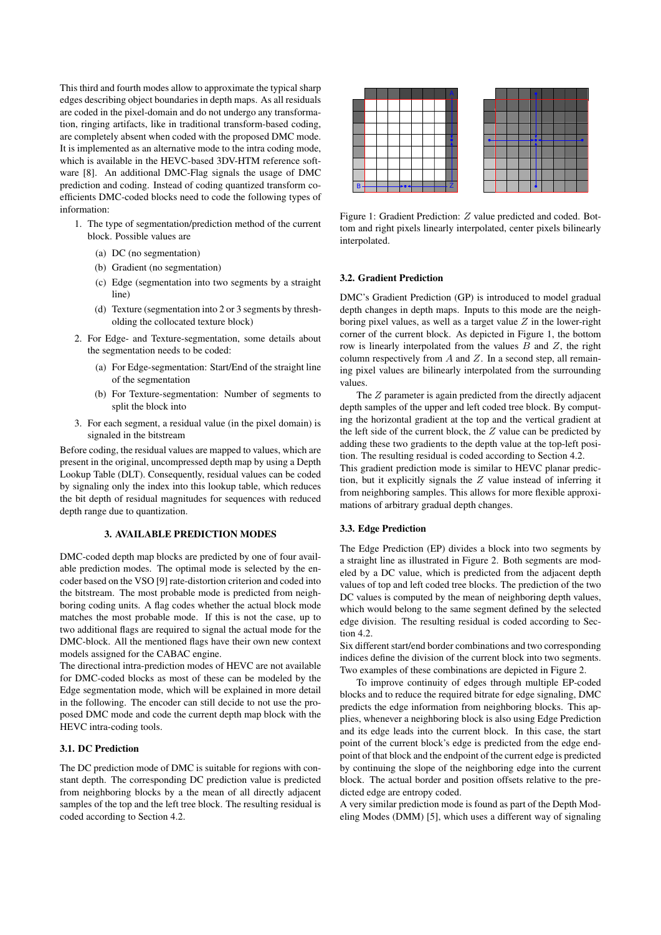This third and fourth modes allow to approximate the typical sharp edges describing object boundaries in depth maps. As all residuals are coded in the pixel-domain and do not undergo any transformation, ringing artifacts, like in traditional transform-based coding, are completely absent when coded with the proposed DMC mode. It is implemented as an alternative mode to the intra coding mode, which is available in the HEVC-based 3DV-HTM reference software [8]. An additional DMC-Flag signals the usage of DMC prediction and coding. Instead of coding quantized transform coefficients DMC-coded blocks need to code the following types of information:

- 1. The type of segmentation/prediction method of the current block. Possible values are
	- (a) DC (no segmentation)
	- (b) Gradient (no segmentation)
	- (c) Edge (segmentation into two segments by a straight line)
	- (d) Texture (segmentation into 2 or 3 segments by thresholding the collocated texture block)
- 2. For Edge- and Texture-segmentation, some details about the segmentation needs to be coded:
	- (a) For Edge-segmentation: Start/End of the straight line of the segmentation
	- (b) For Texture-segmentation: Number of segments to split the block into
- 3. For each segment, a residual value (in the pixel domain) is signaled in the bitstream

Before coding, the residual values are mapped to values, which are present in the original, uncompressed depth map by using a Depth Lookup Table (DLT). Consequently, residual values can be coded by signaling only the index into this lookup table, which reduces the bit depth of residual magnitudes for sequences with reduced depth range due to quantization.

# 3. AVAILABLE PREDICTION MODES

DMC-coded depth map blocks are predicted by one of four available prediction modes. The optimal mode is selected by the encoder based on the VSO [9] rate-distortion criterion and coded into the bitstream. The most probable mode is predicted from neighboring coding units. A flag codes whether the actual block mode matches the most probable mode. If this is not the case, up to two additional flags are required to signal the actual mode for the DMC-block. All the mentioned flags have their own new context models assigned for the CABAC engine.

The directional intra-prediction modes of HEVC are not available for DMC-coded blocks as most of these can be modeled by the Edge segmentation mode, which will be explained in more detail in the following. The encoder can still decide to not use the proposed DMC mode and code the current depth map block with the HEVC intra-coding tools.

## 3.1. DC Prediction

The DC prediction mode of DMC is suitable for regions with constant depth. The corresponding DC prediction value is predicted from neighboring blocks by a the mean of all directly adjacent samples of the top and the left tree block. The resulting residual is coded according to Section 4.2.



Figure 1: Gradient Prediction: Z value predicted and coded. Bottom and right pixels linearly interpolated, center pixels bilinearly interpolated.

#### 3.2. Gradient Prediction

DMC's Gradient Prediction (GP) is introduced to model gradual depth changes in depth maps. Inputs to this mode are the neighboring pixel values, as well as a target value  $Z$  in the lower-right corner of the current block. As depicted in Figure 1, the bottom row is linearly interpolated from the values  $B$  and  $Z$ , the right column respectively from  $A$  and  $Z$ . In a second step, all remaining pixel values are bilinearly interpolated from the surrounding values.

The Z parameter is again predicted from the directly adjacent depth samples of the upper and left coded tree block. By computing the horizontal gradient at the top and the vertical gradient at the left side of the current block, the  $Z$  value can be predicted by adding these two gradients to the depth value at the top-left position. The resulting residual is coded according to Section 4.2.

This gradient prediction mode is similar to HEVC planar prediction, but it explicitly signals the Z value instead of inferring it from neighboring samples. This allows for more flexible approximations of arbitrary gradual depth changes.

#### 3.3. Edge Prediction

The Edge Prediction (EP) divides a block into two segments by a straight line as illustrated in Figure 2. Both segments are modeled by a DC value, which is predicted from the adjacent depth values of top and left coded tree blocks. The prediction of the two DC values is computed by the mean of neighboring depth values, which would belong to the same segment defined by the selected edge division. The resulting residual is coded according to Section 4.2.

Six different start/end border combinations and two corresponding indices define the division of the current block into two segments. Two examples of these combinations are depicted in Figure 2.

To improve continuity of edges through multiple EP-coded blocks and to reduce the required bitrate for edge signaling, DMC predicts the edge information from neighboring blocks. This applies, whenever a neighboring block is also using Edge Prediction and its edge leads into the current block. In this case, the start point of the current block's edge is predicted from the edge endpoint of that block and the endpoint of the current edge is predicted by continuing the slope of the neighboring edge into the current block. The actual border and position offsets relative to the predicted edge are entropy coded.

A very similar prediction mode is found as part of the Depth Modeling Modes (DMM) [5], which uses a different way of signaling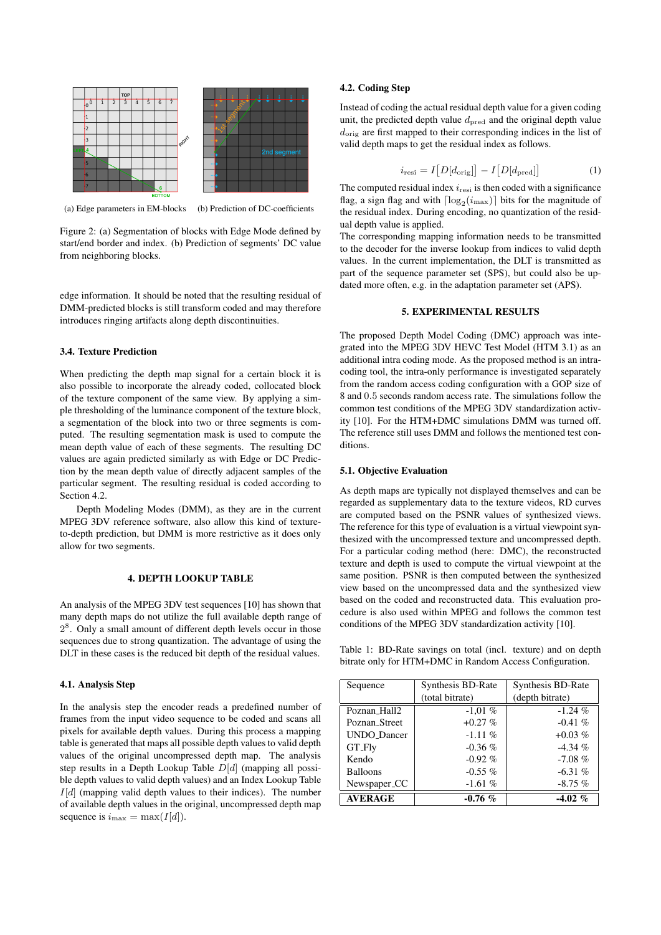

(a) Edge parameters in EM-blocks (b) Prediction of DC-coefficients

Figure 2: (a) Segmentation of blocks with Edge Mode defined by start/end border and index. (b) Prediction of segments' DC value from neighboring blocks.

edge information. It should be noted that the resulting residual of DMM-predicted blocks is still transform coded and may therefore introduces ringing artifacts along depth discontinuities.

## 3.4. Texture Prediction

When predicting the depth map signal for a certain block it is also possible to incorporate the already coded, collocated block of the texture component of the same view. By applying a simple thresholding of the luminance component of the texture block, a segmentation of the block into two or three segments is computed. The resulting segmentation mask is used to compute the mean depth value of each of these segments. The resulting DC values are again predicted similarly as with Edge or DC Prediction by the mean depth value of directly adjacent samples of the particular segment. The resulting residual is coded according to Section 4.2.

Depth Modeling Modes (DMM), as they are in the current MPEG 3DV reference software, also allow this kind of textureto-depth prediction, but DMM is more restrictive as it does only allow for two segments.

#### 4. DEPTH LOOKUP TABLE

An analysis of the MPEG 3DV test sequences [10] has shown that many depth maps do not utilize the full available depth range of 2<sup>8</sup>. Only a small amount of different depth levels occur in those sequences due to strong quantization. The advantage of using the DLT in these cases is the reduced bit depth of the residual values.

### 4.1. Analysis Step

In the analysis step the encoder reads a predefined number of frames from the input video sequence to be coded and scans all pixels for available depth values. During this process a mapping table is generated that maps all possible depth values to valid depth values of the original uncompressed depth map. The analysis step results in a Depth Lookup Table  $D[d]$  (mapping all possible depth values to valid depth values) and an Index Lookup Table  $I[d]$  (mapping valid depth values to their indices). The number of available depth values in the original, uncompressed depth map sequence is  $i_{\text{max}} = \max(I[d]).$ 

#### 4.2. Coding Step

Instead of coding the actual residual depth value for a given coding unit, the predicted depth value  $d_{pred}$  and the original depth value  $d_{\text{orig}}$  are first mapped to their corresponding indices in the list of valid depth maps to get the residual index as follows.

$$
i_{\rm resi} = I[D[d_{\rm orig}]] - I[D[d_{\rm pred}]] \tag{1}
$$

The computed residual index  $i_{\text{resi}}$  is then coded with a significance flag, a sign flag and with  $\lceil \log_2(i_{\text{max}}) \rceil$  bits for the magnitude of the residual index. During encoding, no quantization of the residual depth value is applied.

The corresponding mapping information needs to be transmitted to the decoder for the inverse lookup from indices to valid depth values. In the current implementation, the DLT is transmitted as part of the sequence parameter set (SPS), but could also be updated more often, e.g. in the adaptation parameter set (APS).

# 5. EXPERIMENTAL RESULTS

The proposed Depth Model Coding (DMC) approach was integrated into the MPEG 3DV HEVC Test Model (HTM 3.1) as an additional intra coding mode. As the proposed method is an intracoding tool, the intra-only performance is investigated separately from the random access coding configuration with a GOP size of 8 and 0.5 seconds random access rate. The simulations follow the common test conditions of the MPEG 3DV standardization activity [10]. For the HTM+DMC simulations DMM was turned off. The reference still uses DMM and follows the mentioned test conditions.

#### 5.1. Objective Evaluation

As depth maps are typically not displayed themselves and can be regarded as supplementary data to the texture videos, RD curves are computed based on the PSNR values of synthesized views. The reference for this type of evaluation is a virtual viewpoint synthesized with the uncompressed texture and uncompressed depth. For a particular coding method (here: DMC), the reconstructed texture and depth is used to compute the virtual viewpoint at the same position. PSNR is then computed between the synthesized view based on the uncompressed data and the synthesized view based on the coded and reconstructed data. This evaluation procedure is also used within MPEG and follows the common test conditions of the MPEG 3DV standardization activity [10].

Table 1: BD-Rate savings on total (incl. texture) and on depth bitrate only for HTM+DMC in Random Access Configuration.

| Sequence                 | Synthesis BD-Rate | Synthesis BD-Rate |
|--------------------------|-------------------|-------------------|
|                          | (total bitrate)   | (depth bitrate)   |
| Poznan_Hall2             | $-1,01\%$         | $-1.24\%$         |
| Poznan_Street            | $+0.27\%$         | $-0.41%$          |
| <b>UNDO_Dancer</b>       | $-1.11\%$         | $+0.03\%$         |
| GT_Fly                   | $-0.36\%$         | $-4.34\%$         |
| Kendo                    | $-0.92\%$         | $-7.08\%$         |
| <b>Balloons</b>          | $-0.55\%$         | $-6.31\%$         |
| Newspaper <sub>-CC</sub> | $-1.61%$          | $-8.75%$          |
| <b>AVERAGE</b>           | $-0.76\%$         | $-4.02\%$         |